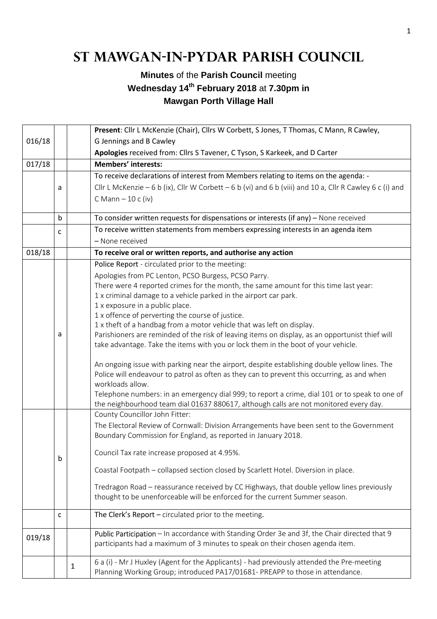## **St Mawgan-in-Pydar Parish Council**

## **Minutes** of the **Parish Council** meeting **Wednesday 14th February 2018** at **7.30pm in Mawgan Porth Village Hall**

|        |   |              | Present: Cllr L McKenzie (Chair), Cllrs W Corbett, S Jones, T Thomas, C Mann, R Cawley,                  |  |  |  |
|--------|---|--------------|----------------------------------------------------------------------------------------------------------|--|--|--|
| 016/18 |   |              | G Jennings and B Cawley                                                                                  |  |  |  |
|        |   |              | Apologies received from: Cllrs S Tavener, C Tyson, S Karkeek, and D Carter                               |  |  |  |
| 017/18 |   |              | <b>Members' interests:</b>                                                                               |  |  |  |
|        |   |              | To receive declarations of interest from Members relating to items on the agenda: -                      |  |  |  |
|        | a |              | Cllr L McKenzie - 6 b (ix), Cllr W Corbett - 6 b (vi) and 6 b (viii) and 10 a, Cllr R Cawley 6 c (i) and |  |  |  |
|        |   |              | $CMann - 10c(iv)$                                                                                        |  |  |  |
|        |   |              |                                                                                                          |  |  |  |
|        | b |              | To consider written requests for dispensations or interests (if any) - None received                     |  |  |  |
|        | c |              | To receive written statements from members expressing interests in an agenda item                        |  |  |  |
|        |   |              | - None received                                                                                          |  |  |  |
| 018/18 |   |              | To receive oral or written reports, and authorise any action                                             |  |  |  |
|        |   |              | Police Report - circulated prior to the meeting:                                                         |  |  |  |
|        |   |              | Apologies from PC Lenton, PCSO Burgess, PCSO Parry.                                                      |  |  |  |
|        |   |              | There were 4 reported crimes for the month, the same amount for this time last year:                     |  |  |  |
|        |   |              | 1 x criminal damage to a vehicle parked in the airport car park.                                         |  |  |  |
|        |   |              | 1 x exposure in a public place.                                                                          |  |  |  |
|        |   |              | 1 x offence of perverting the course of justice.                                                         |  |  |  |
|        |   |              | 1 x theft of a handbag from a motor vehicle that was left on display.                                    |  |  |  |
|        | а |              | Parishioners are reminded of the risk of leaving items on display, as an opportunist thief will          |  |  |  |
|        |   |              | take advantage. Take the items with you or lock them in the boot of your vehicle.                        |  |  |  |
|        |   |              | An ongoing issue with parking near the airport, despite establishing double yellow lines. The            |  |  |  |
|        |   |              | Police will endeavour to patrol as often as they can to prevent this occurring, as and when              |  |  |  |
|        |   |              | workloads allow.                                                                                         |  |  |  |
|        |   |              | Telephone numbers: in an emergency dial 999; to report a crime, dial 101 or to speak to one of           |  |  |  |
|        |   |              | the neighbourhood team dial 01637 880617, although calls are not monitored every day.                    |  |  |  |
|        |   |              | County Councillor John Fitter:                                                                           |  |  |  |
|        |   |              | The Electoral Review of Cornwall: Division Arrangements have been sent to the Government                 |  |  |  |
|        |   |              | Boundary Commission for England, as reported in January 2018.                                            |  |  |  |
|        |   |              | Council Tax rate increase proposed at 4.95%.                                                             |  |  |  |
|        | b |              |                                                                                                          |  |  |  |
|        |   |              | Coastal Footpath - collapsed section closed by Scarlett Hotel. Diversion in place.                       |  |  |  |
|        |   |              | Tredragon Road - reassurance received by CC Highways, that double yellow lines previously                |  |  |  |
|        |   |              | thought to be unenforceable will be enforced for the current Summer season.                              |  |  |  |
|        |   |              |                                                                                                          |  |  |  |
|        | c |              | The Clerk's Report - circulated prior to the meeting.                                                    |  |  |  |
|        |   |              | Public Participation - In accordance with Standing Order 3e and 3f, the Chair directed that 9            |  |  |  |
| 019/18 |   |              | participants had a maximum of 3 minutes to speak on their chosen agenda item.                            |  |  |  |
|        |   |              |                                                                                                          |  |  |  |
|        |   | $\mathbf{1}$ | 6 a (i) - Mr J Huxley (Agent for the Applicants) - had previously attended the Pre-meeting               |  |  |  |
|        |   |              | Planning Working Group; introduced PA17/01681- PREAPP to those in attendance.                            |  |  |  |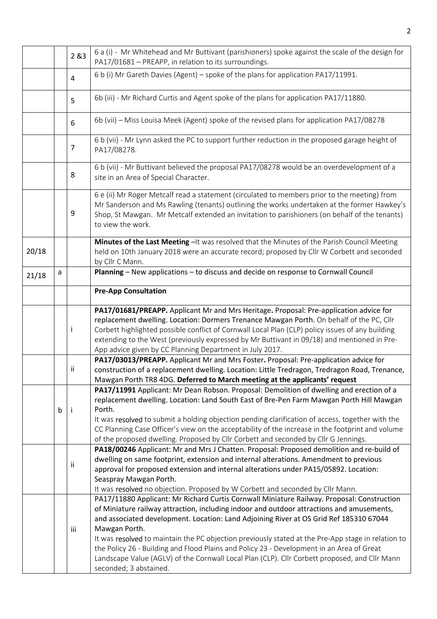|       |                   | 2 & 3                                                                                                                                                                                                                                                                                                                                                                                                                                                                                                                                                                                                                                   | 6 a (i) - Mr Whitehead and Mr Buttivant (parishioners) spoke against the scale of the design for<br>PA17/01681 - PREAPP, in relation to its surroundings.                                                                                                                                                                                                                                                                                                                           |  |  |  |
|-------|-------------------|-----------------------------------------------------------------------------------------------------------------------------------------------------------------------------------------------------------------------------------------------------------------------------------------------------------------------------------------------------------------------------------------------------------------------------------------------------------------------------------------------------------------------------------------------------------------------------------------------------------------------------------------|-------------------------------------------------------------------------------------------------------------------------------------------------------------------------------------------------------------------------------------------------------------------------------------------------------------------------------------------------------------------------------------------------------------------------------------------------------------------------------------|--|--|--|
|       |                   | 4                                                                                                                                                                                                                                                                                                                                                                                                                                                                                                                                                                                                                                       | 6 b (i) Mr Gareth Davies (Agent) - spoke of the plans for application PA17/11991.                                                                                                                                                                                                                                                                                                                                                                                                   |  |  |  |
|       |                   | 5                                                                                                                                                                                                                                                                                                                                                                                                                                                                                                                                                                                                                                       | 6b (iii) - Mr Richard Curtis and Agent spoke of the plans for application PA17/11880.                                                                                                                                                                                                                                                                                                                                                                                               |  |  |  |
|       |                   | 6                                                                                                                                                                                                                                                                                                                                                                                                                                                                                                                                                                                                                                       | 6b (vii) - Miss Louisa Meek (Agent) spoke of the revised plans for application PA17/08278                                                                                                                                                                                                                                                                                                                                                                                           |  |  |  |
|       |                   | 7                                                                                                                                                                                                                                                                                                                                                                                                                                                                                                                                                                                                                                       | 6 b (vii) - Mr Lynn asked the PC to support further reduction in the proposed garage height of<br>PA17/08278.                                                                                                                                                                                                                                                                                                                                                                       |  |  |  |
|       |                   | 6 b (vii) - Mr Buttivant believed the proposal PA17/08278 would be an overdevelopment of a<br>8<br>site in an Area of Special Character.                                                                                                                                                                                                                                                                                                                                                                                                                                                                                                |                                                                                                                                                                                                                                                                                                                                                                                                                                                                                     |  |  |  |
|       |                   | 9                                                                                                                                                                                                                                                                                                                                                                                                                                                                                                                                                                                                                                       | 6 e (ii) Mr Roger Metcalf read a statement (circulated to members prior to the meeting) from<br>Mr Sanderson and Ms Rawling (tenants) outlining the works undertaken at the former Hawkey's<br>Shop, St Mawgan. Mr Metcalf extended an invitation to parishioners (on behalf of the tenants)<br>to view the work.                                                                                                                                                                   |  |  |  |
| 20/18 |                   |                                                                                                                                                                                                                                                                                                                                                                                                                                                                                                                                                                                                                                         | Minutes of the Last Meeting - It was resolved that the Minutes of the Parish Council Meeting<br>held on 10th January 2018 were an accurate record; proposed by Cllr W Corbett and seconded<br>by Cllr C Mann.                                                                                                                                                                                                                                                                       |  |  |  |
| 21/18 | a                 |                                                                                                                                                                                                                                                                                                                                                                                                                                                                                                                                                                                                                                         | Planning - New applications - to discuss and decide on response to Cornwall Council                                                                                                                                                                                                                                                                                                                                                                                                 |  |  |  |
|       |                   |                                                                                                                                                                                                                                                                                                                                                                                                                                                                                                                                                                                                                                         | <b>Pre-App Consultation</b>                                                                                                                                                                                                                                                                                                                                                                                                                                                         |  |  |  |
|       |                   | j.                                                                                                                                                                                                                                                                                                                                                                                                                                                                                                                                                                                                                                      | PA17/01681/PREAPP. Applicant Mr and Mrs Heritage. Proposal: Pre-application advice for<br>replacement dwelling. Location: Dormers Trenance Mawgan Porth. On behalf of the PC, Cllr<br>Corbett highlighted possible conflict of Cornwall Local Plan (CLP) policy issues of any building<br>extending to the West (previously expressed by Mr Buttivant in 09/18) and mentioned in Pre-<br>App advice given by CC Planning Department in July 2017.                                   |  |  |  |
|       |                   | ij.                                                                                                                                                                                                                                                                                                                                                                                                                                                                                                                                                                                                                                     | PA17/03013/PREAPP. Applicant Mr and Mrs Foster. Proposal: Pre-application advice for<br>construction of a replacement dwelling. Location: Little Tredragon, Tredragon Road, Trenance,<br>Mawgan Porth TR8 4DG. Deferred to March meeting at the applicants' request                                                                                                                                                                                                                 |  |  |  |
|       | Porth.<br>b<br>-i |                                                                                                                                                                                                                                                                                                                                                                                                                                                                                                                                                                                                                                         | PA17/11991 Applicant: Mr Dean Robson. Proposal: Demolition of dwelling and erection of a<br>replacement dwelling. Location: Land South East of Bre-Pen Farm Mawgan Porth Hill Mawgan<br>It was resolved to submit a holding objection pending clarification of access, together with the<br>CC Planning Case Officer's view on the acceptability of the increase in the footprint and volume<br>of the proposed dwelling. Proposed by Cllr Corbett and seconded by Cllr G Jennings. |  |  |  |
|       |                   | ii                                                                                                                                                                                                                                                                                                                                                                                                                                                                                                                                                                                                                                      | PA18/00246 Applicant: Mr and Mrs J Chatten. Proposal: Proposed demolition and re-build of<br>dwelling on same footprint, extension and internal alterations. Amendment to previous<br>approval for proposed extension and internal alterations under PA15/05892. Location:<br>Seaspray Mawgan Porth.<br>It was resolved no objection. Proposed by W Corbett and seconded by Cllr Mann.                                                                                              |  |  |  |
|       |                   | PA17/11880 Applicant: Mr Richard Curtis Cornwall Miniature Railway. Proposal: Construction<br>of Miniature railway attraction, including indoor and outdoor attractions and amusements,<br>and associated development. Location: Land Adjoining River at OS Grid Ref 185310 67044<br>Mawgan Porth.<br>iii<br>It was resolved to maintain the PC objection previously stated at the Pre-App stage in relation to<br>the Policy 26 - Building and Flood Plains and Policy 23 - Development in an Area of Great<br>Landscape Value (AGLV) of the Cornwall Local Plan (CLP). Cllr Corbett proposed, and Cllr Mann<br>seconded; 3 abstained. |                                                                                                                                                                                                                                                                                                                                                                                                                                                                                     |  |  |  |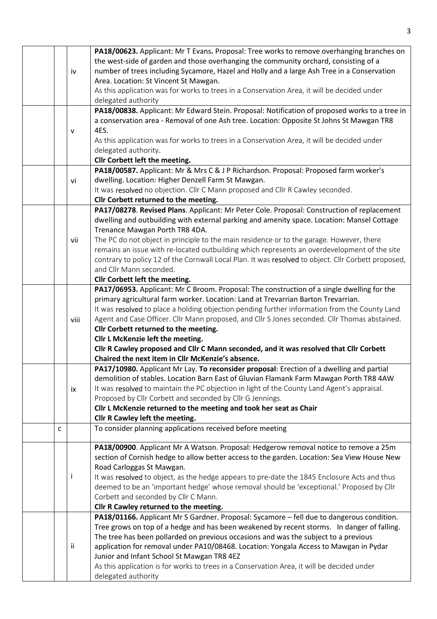|  |              | PA18/00623. Applicant: Mr T Evans. Proposal: Tree works to remove overhanging branches on           |
|--|--------------|-----------------------------------------------------------------------------------------------------|
|  |              | the west-side of garden and those overhanging the community orchard, consisting of a                |
|  | iv           | number of trees including Sycamore, Hazel and Holly and a large Ash Tree in a Conservation          |
|  |              | Area. Location: St Vincent St Mawgan.                                                               |
|  |              | As this application was for works to trees in a Conservation Area, it will be decided under         |
|  |              | delegated authority                                                                                 |
|  |              |                                                                                                     |
|  |              | PA18/00838. Applicant: Mr Edward Stein. Proposal: Notification of proposed works to a tree in       |
|  |              | a conservation area - Removal of one Ash tree. Location: Opposite St Johns St Mawgan TR8            |
|  | $\mathsf{V}$ | 4ES.                                                                                                |
|  |              | As this application was for works to trees in a Conservation Area, it will be decided under         |
|  |              | delegated authority.                                                                                |
|  |              | Cllr Corbett left the meeting.                                                                      |
|  |              | PA18/00587. Applicant: Mr & Mrs C & J P Richardson. Proposal: Proposed farm worker's                |
|  | vi           | dwelling. Location: Higher Denzell Farm St Mawgan.                                                  |
|  |              | It was resolved no objection. Cllr C Mann proposed and Cllr R Cawley seconded.                      |
|  |              | Cllr Corbett returned to the meeting.                                                               |
|  |              | PA17/08278. Revised Plans. Applicant: Mr Peter Cole. Proposal: Construction of replacement          |
|  |              | dwelling and outbuilding with external parking and amenity space. Location: Mansel Cottage          |
|  |              | Trenance Mawgan Porth TR8 4DA.                                                                      |
|  | vii          | The PC do not object in principle to the main residence or to the garage. However, there            |
|  |              | remains an issue with re-located outbuilding which represents an overdevelopment of the site        |
|  |              | contrary to policy 12 of the Cornwall Local Plan. It was resolved to object. Cllr Corbett proposed, |
|  |              | and Cllr Mann seconded.                                                                             |
|  |              | Cllr Corbett left the meeting.                                                                      |
|  |              | PA17/06953. Applicant: Mr C Broom. Proposal: The construction of a single dwelling for the          |
|  |              | primary agricultural farm worker. Location: Land at Trevarrian Barton Trevarrian.                   |
|  |              | It was resolved to place a holding objection pending further information from the County Land       |
|  | viii         | Agent and Case Officer. Cllr Mann proposed, and Cllr S Jones seconded. Cllr Thomas abstained.       |
|  |              | Cllr Corbett returned to the meeting.                                                               |
|  |              | Cllr L McKenzie left the meeting.                                                                   |
|  |              | Cllr R Cawley proposed and Cllr C Mann seconded, and it was resolved that Cllr Corbett              |
|  |              | Chaired the next item in Cllr McKenzie's absence.                                                   |
|  |              | PA17/10980. Applicant Mr Lay. To reconsider proposal: Erection of a dwelling and partial            |
|  |              | demolition of stables. Location Barn East of Gluvian Flamank Farm Mawgan Porth TR8 4AW              |
|  | ix           | It was resolved to maintain the PC objection in light of the County Land Agent's appraisal.         |
|  |              | Proposed by Cllr Corbett and seconded by Cllr G Jennings.                                           |
|  |              | Cllr L McKenzie returned to the meeting and took her seat as Chair                                  |
|  |              | Cllr R Cawley left the meeting.                                                                     |
|  | c            | To consider planning applications received before meeting                                           |
|  |              |                                                                                                     |
|  |              | PA18/00900. Applicant Mr A Watson. Proposal: Hedgerow removal notice to remove a 25m                |
|  |              | section of Cornish hedge to allow better access to the garden. Location: Sea View House New         |
|  |              | Road Carloggas St Mawgan.                                                                           |
|  | Ť            | It was resolved to object, as the hedge appears to pre-date the 1845 Enclosure Acts and thus        |
|  |              | deemed to be an 'important hedge' whose removal should be 'exceptional.' Proposed by Cllr           |
|  |              | Corbett and seconded by Cllr C Mann.                                                                |
|  |              | Cllr R Cawley returned to the meeting.                                                              |
|  |              | PA18/01166. Applicant Mr S Gardner. Proposal: Sycamore - fell due to dangerous condition.           |
|  |              | Tree grows on top of a hedge and has been weakened by recent storms. In danger of falling.          |
|  |              | The tree has been pollarded on previous occasions and was the subject to a previous                 |
|  | ii           | application for removal under PA10/08468. Location: Yongala Access to Mawgan in Pydar               |
|  |              | Junior and Infant School St Mawgan TR8 4EZ                                                          |
|  |              | As this application is for works to trees in a Conservation Area, it will be decided under          |
|  |              | delegated authority                                                                                 |

3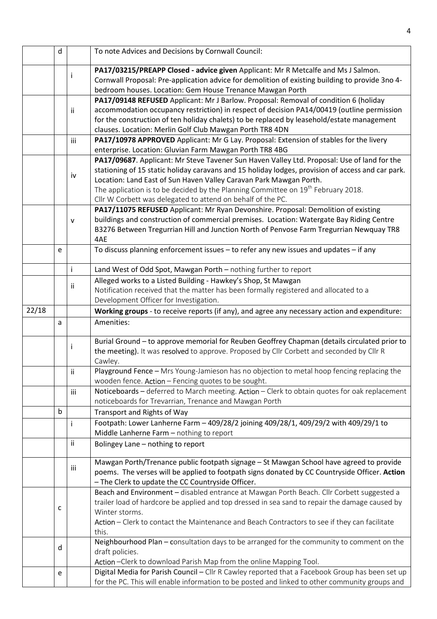| PA17/03215/PREAPP Closed - advice given Applicant: Mr R Metcalfe and Ms J Salmon.<br>j.<br>Cornwall Proposal: Pre-application advice for demolition of existing building to provide 3no 4-<br>bedroom houses. Location: Gem House Trenance Mawgan Porth<br>PA17/09148 REFUSED Applicant: Mr J Barlow. Proposal: Removal of condition 6 (holiday<br>accommodation occupancy restriction) in respect of decision PA14/00419 (outline permission<br>ii.<br>for the construction of ten holiday chalets) to be replaced by leasehold/estate management<br>clauses. Location: Merlin Golf Club Mawgan Porth TR8 4DN<br>PA17/10978 APPROVED Applicant: Mr G Lay. Proposal: Extension of stables for the livery<br>iii<br>enterprise. Location: Gluvian Farm Mawgan Porth TR8 4BG<br>PA17/09687. Applicant: Mr Steve Tavener Sun Haven Valley Ltd. Proposal: Use of land for the<br>stationing of 15 static holiday caravans and 15 holiday lodges, provision of access and car park.<br>iv<br>Location: Land East of Sun Haven Valley Caravan Park Mawgan Porth.<br>The application is to be decided by the Planning Committee on 19 <sup>th</sup> February 2018.<br>Cllr W Corbett was delegated to attend on behalf of the PC.<br>PA17/11075 REFUSED Applicant: Mr Ryan Devonshire. Proposal: Demolition of existing<br>buildings and construction of commercial premises. Location: Watergate Bay Riding Centre<br>$\mathsf{V}$<br>B3276 Between Tregurrian Hill and Junction North of Penvose Farm Tregurrian Newquay TR8<br>4AE<br>To discuss planning enforcement issues - to refer any new issues and updates - if any<br>e<br>$\mathbf{i}$<br>Land West of Odd Spot, Mawgan Porth - nothing further to report<br>Alleged works to a Listed Building - Hawkey's Shop, St Mawgan<br>ij<br>Notification received that the matter has been formally registered and allocated to a<br>Development Officer for Investigation.<br>22/18<br>Working groups - to receive reports (if any), and agree any necessary action and expenditure:<br>Amenities:<br>a<br>Burial Ground - to approve memorial for Reuben Geoffrey Chapman (details circulated prior to<br>Ť<br>the meeting). It was resolved to approve. Proposed by Cllr Corbett and seconded by Cllr R<br>Cawley.<br>Playground Fence - Mrs Young-Jamieson has no objection to metal hoop fencing replacing the<br>ii<br>wooden fence. Action - Fencing quotes to be sought.<br>Noticeboards - deferred to March meeting. Action - Clerk to obtain quotes for oak replacement<br>iii<br>noticeboards for Trevarrian, Trenance and Mawgan Porth<br>$\mathsf{b}$<br>Transport and Rights of Way<br>Footpath: Lower Lanherne Farm - 409/28/2 joining 409/28/1, 409/29/2 with 409/29/1 to<br>j.<br>Middle Lanherne Farm - nothing to report<br>ii.<br>Bolingey Lane - nothing to report<br>Mawgan Porth/Trenance public footpath signage - St Mawgan School have agreed to provide<br>iii<br>poems. The verses will be applied to footpath signs donated by CC Countryside Officer. Action<br>- The Clerk to update the CC Countryside Officer.<br>Beach and Environment - disabled entrance at Mawgan Porth Beach. Cllr Corbett suggested a<br>trailer load of hardcore be applied and top dressed in sea sand to repair the damage caused by<br>c<br>Winter storms.<br>Action - Clerk to contact the Maintenance and Beach Contractors to see if they can facilitate<br>this.<br>Neighbourhood Plan - consultation days to be arranged for the community to comment on the<br>d<br>draft policies.<br>Action - Clerk to download Parish Map from the online Mapping Tool. |  | $\mathsf{d}$ |  | To note Advices and Decisions by Cornwall Council: |  |  |
|---------------------------------------------------------------------------------------------------------------------------------------------------------------------------------------------------------------------------------------------------------------------------------------------------------------------------------------------------------------------------------------------------------------------------------------------------------------------------------------------------------------------------------------------------------------------------------------------------------------------------------------------------------------------------------------------------------------------------------------------------------------------------------------------------------------------------------------------------------------------------------------------------------------------------------------------------------------------------------------------------------------------------------------------------------------------------------------------------------------------------------------------------------------------------------------------------------------------------------------------------------------------------------------------------------------------------------------------------------------------------------------------------------------------------------------------------------------------------------------------------------------------------------------------------------------------------------------------------------------------------------------------------------------------------------------------------------------------------------------------------------------------------------------------------------------------------------------------------------------------------------------------------------------------------------------------------------------------------------------------------------------------------------------------------------------------------------------------------------------------------------------------------------------------------------------------------------------------------------------------------------------------------------------------------------------------------------------------------------------------------------------------------------------------------------------------------------------------------------------------------------------------------------------------------------------------------------------------------------------------------------------------------------------------------------------------------------------------------------------------------------------------------------------------------------------------------------------------------------------------------------------------------------------------------------------------------------------------------------------------------------------------------------------------------------------------------------------------------------------------------------------------------------------------------------------------------------------------------------------------------------------------------------------------------------------------------------------------------------------------------------------------------------------------------------------------------------------------------------------------------------------------------------------------------------------------------------------------------------------------------|--|--------------|--|----------------------------------------------------|--|--|
|                                                                                                                                                                                                                                                                                                                                                                                                                                                                                                                                                                                                                                                                                                                                                                                                                                                                                                                                                                                                                                                                                                                                                                                                                                                                                                                                                                                                                                                                                                                                                                                                                                                                                                                                                                                                                                                                                                                                                                                                                                                                                                                                                                                                                                                                                                                                                                                                                                                                                                                                                                                                                                                                                                                                                                                                                                                                                                                                                                                                                                                                                                                                                                                                                                                                                                                                                                                                                                                                                                                                                                                                                           |  |              |  |                                                    |  |  |
|                                                                                                                                                                                                                                                                                                                                                                                                                                                                                                                                                                                                                                                                                                                                                                                                                                                                                                                                                                                                                                                                                                                                                                                                                                                                                                                                                                                                                                                                                                                                                                                                                                                                                                                                                                                                                                                                                                                                                                                                                                                                                                                                                                                                                                                                                                                                                                                                                                                                                                                                                                                                                                                                                                                                                                                                                                                                                                                                                                                                                                                                                                                                                                                                                                                                                                                                                                                                                                                                                                                                                                                                                           |  |              |  |                                                    |  |  |
|                                                                                                                                                                                                                                                                                                                                                                                                                                                                                                                                                                                                                                                                                                                                                                                                                                                                                                                                                                                                                                                                                                                                                                                                                                                                                                                                                                                                                                                                                                                                                                                                                                                                                                                                                                                                                                                                                                                                                                                                                                                                                                                                                                                                                                                                                                                                                                                                                                                                                                                                                                                                                                                                                                                                                                                                                                                                                                                                                                                                                                                                                                                                                                                                                                                                                                                                                                                                                                                                                                                                                                                                                           |  |              |  |                                                    |  |  |
|                                                                                                                                                                                                                                                                                                                                                                                                                                                                                                                                                                                                                                                                                                                                                                                                                                                                                                                                                                                                                                                                                                                                                                                                                                                                                                                                                                                                                                                                                                                                                                                                                                                                                                                                                                                                                                                                                                                                                                                                                                                                                                                                                                                                                                                                                                                                                                                                                                                                                                                                                                                                                                                                                                                                                                                                                                                                                                                                                                                                                                                                                                                                                                                                                                                                                                                                                                                                                                                                                                                                                                                                                           |  |              |  |                                                    |  |  |
|                                                                                                                                                                                                                                                                                                                                                                                                                                                                                                                                                                                                                                                                                                                                                                                                                                                                                                                                                                                                                                                                                                                                                                                                                                                                                                                                                                                                                                                                                                                                                                                                                                                                                                                                                                                                                                                                                                                                                                                                                                                                                                                                                                                                                                                                                                                                                                                                                                                                                                                                                                                                                                                                                                                                                                                                                                                                                                                                                                                                                                                                                                                                                                                                                                                                                                                                                                                                                                                                                                                                                                                                                           |  |              |  |                                                    |  |  |
|                                                                                                                                                                                                                                                                                                                                                                                                                                                                                                                                                                                                                                                                                                                                                                                                                                                                                                                                                                                                                                                                                                                                                                                                                                                                                                                                                                                                                                                                                                                                                                                                                                                                                                                                                                                                                                                                                                                                                                                                                                                                                                                                                                                                                                                                                                                                                                                                                                                                                                                                                                                                                                                                                                                                                                                                                                                                                                                                                                                                                                                                                                                                                                                                                                                                                                                                                                                                                                                                                                                                                                                                                           |  |              |  |                                                    |  |  |
|                                                                                                                                                                                                                                                                                                                                                                                                                                                                                                                                                                                                                                                                                                                                                                                                                                                                                                                                                                                                                                                                                                                                                                                                                                                                                                                                                                                                                                                                                                                                                                                                                                                                                                                                                                                                                                                                                                                                                                                                                                                                                                                                                                                                                                                                                                                                                                                                                                                                                                                                                                                                                                                                                                                                                                                                                                                                                                                                                                                                                                                                                                                                                                                                                                                                                                                                                                                                                                                                                                                                                                                                                           |  |              |  |                                                    |  |  |
|                                                                                                                                                                                                                                                                                                                                                                                                                                                                                                                                                                                                                                                                                                                                                                                                                                                                                                                                                                                                                                                                                                                                                                                                                                                                                                                                                                                                                                                                                                                                                                                                                                                                                                                                                                                                                                                                                                                                                                                                                                                                                                                                                                                                                                                                                                                                                                                                                                                                                                                                                                                                                                                                                                                                                                                                                                                                                                                                                                                                                                                                                                                                                                                                                                                                                                                                                                                                                                                                                                                                                                                                                           |  |              |  |                                                    |  |  |
|                                                                                                                                                                                                                                                                                                                                                                                                                                                                                                                                                                                                                                                                                                                                                                                                                                                                                                                                                                                                                                                                                                                                                                                                                                                                                                                                                                                                                                                                                                                                                                                                                                                                                                                                                                                                                                                                                                                                                                                                                                                                                                                                                                                                                                                                                                                                                                                                                                                                                                                                                                                                                                                                                                                                                                                                                                                                                                                                                                                                                                                                                                                                                                                                                                                                                                                                                                                                                                                                                                                                                                                                                           |  |              |  |                                                    |  |  |
|                                                                                                                                                                                                                                                                                                                                                                                                                                                                                                                                                                                                                                                                                                                                                                                                                                                                                                                                                                                                                                                                                                                                                                                                                                                                                                                                                                                                                                                                                                                                                                                                                                                                                                                                                                                                                                                                                                                                                                                                                                                                                                                                                                                                                                                                                                                                                                                                                                                                                                                                                                                                                                                                                                                                                                                                                                                                                                                                                                                                                                                                                                                                                                                                                                                                                                                                                                                                                                                                                                                                                                                                                           |  |              |  |                                                    |  |  |
|                                                                                                                                                                                                                                                                                                                                                                                                                                                                                                                                                                                                                                                                                                                                                                                                                                                                                                                                                                                                                                                                                                                                                                                                                                                                                                                                                                                                                                                                                                                                                                                                                                                                                                                                                                                                                                                                                                                                                                                                                                                                                                                                                                                                                                                                                                                                                                                                                                                                                                                                                                                                                                                                                                                                                                                                                                                                                                                                                                                                                                                                                                                                                                                                                                                                                                                                                                                                                                                                                                                                                                                                                           |  |              |  |                                                    |  |  |
|                                                                                                                                                                                                                                                                                                                                                                                                                                                                                                                                                                                                                                                                                                                                                                                                                                                                                                                                                                                                                                                                                                                                                                                                                                                                                                                                                                                                                                                                                                                                                                                                                                                                                                                                                                                                                                                                                                                                                                                                                                                                                                                                                                                                                                                                                                                                                                                                                                                                                                                                                                                                                                                                                                                                                                                                                                                                                                                                                                                                                                                                                                                                                                                                                                                                                                                                                                                                                                                                                                                                                                                                                           |  |              |  |                                                    |  |  |
|                                                                                                                                                                                                                                                                                                                                                                                                                                                                                                                                                                                                                                                                                                                                                                                                                                                                                                                                                                                                                                                                                                                                                                                                                                                                                                                                                                                                                                                                                                                                                                                                                                                                                                                                                                                                                                                                                                                                                                                                                                                                                                                                                                                                                                                                                                                                                                                                                                                                                                                                                                                                                                                                                                                                                                                                                                                                                                                                                                                                                                                                                                                                                                                                                                                                                                                                                                                                                                                                                                                                                                                                                           |  |              |  |                                                    |  |  |
|                                                                                                                                                                                                                                                                                                                                                                                                                                                                                                                                                                                                                                                                                                                                                                                                                                                                                                                                                                                                                                                                                                                                                                                                                                                                                                                                                                                                                                                                                                                                                                                                                                                                                                                                                                                                                                                                                                                                                                                                                                                                                                                                                                                                                                                                                                                                                                                                                                                                                                                                                                                                                                                                                                                                                                                                                                                                                                                                                                                                                                                                                                                                                                                                                                                                                                                                                                                                                                                                                                                                                                                                                           |  |              |  |                                                    |  |  |
|                                                                                                                                                                                                                                                                                                                                                                                                                                                                                                                                                                                                                                                                                                                                                                                                                                                                                                                                                                                                                                                                                                                                                                                                                                                                                                                                                                                                                                                                                                                                                                                                                                                                                                                                                                                                                                                                                                                                                                                                                                                                                                                                                                                                                                                                                                                                                                                                                                                                                                                                                                                                                                                                                                                                                                                                                                                                                                                                                                                                                                                                                                                                                                                                                                                                                                                                                                                                                                                                                                                                                                                                                           |  |              |  |                                                    |  |  |
|                                                                                                                                                                                                                                                                                                                                                                                                                                                                                                                                                                                                                                                                                                                                                                                                                                                                                                                                                                                                                                                                                                                                                                                                                                                                                                                                                                                                                                                                                                                                                                                                                                                                                                                                                                                                                                                                                                                                                                                                                                                                                                                                                                                                                                                                                                                                                                                                                                                                                                                                                                                                                                                                                                                                                                                                                                                                                                                                                                                                                                                                                                                                                                                                                                                                                                                                                                                                                                                                                                                                                                                                                           |  |              |  |                                                    |  |  |
|                                                                                                                                                                                                                                                                                                                                                                                                                                                                                                                                                                                                                                                                                                                                                                                                                                                                                                                                                                                                                                                                                                                                                                                                                                                                                                                                                                                                                                                                                                                                                                                                                                                                                                                                                                                                                                                                                                                                                                                                                                                                                                                                                                                                                                                                                                                                                                                                                                                                                                                                                                                                                                                                                                                                                                                                                                                                                                                                                                                                                                                                                                                                                                                                                                                                                                                                                                                                                                                                                                                                                                                                                           |  |              |  |                                                    |  |  |
|                                                                                                                                                                                                                                                                                                                                                                                                                                                                                                                                                                                                                                                                                                                                                                                                                                                                                                                                                                                                                                                                                                                                                                                                                                                                                                                                                                                                                                                                                                                                                                                                                                                                                                                                                                                                                                                                                                                                                                                                                                                                                                                                                                                                                                                                                                                                                                                                                                                                                                                                                                                                                                                                                                                                                                                                                                                                                                                                                                                                                                                                                                                                                                                                                                                                                                                                                                                                                                                                                                                                                                                                                           |  |              |  |                                                    |  |  |
|                                                                                                                                                                                                                                                                                                                                                                                                                                                                                                                                                                                                                                                                                                                                                                                                                                                                                                                                                                                                                                                                                                                                                                                                                                                                                                                                                                                                                                                                                                                                                                                                                                                                                                                                                                                                                                                                                                                                                                                                                                                                                                                                                                                                                                                                                                                                                                                                                                                                                                                                                                                                                                                                                                                                                                                                                                                                                                                                                                                                                                                                                                                                                                                                                                                                                                                                                                                                                                                                                                                                                                                                                           |  |              |  |                                                    |  |  |
|                                                                                                                                                                                                                                                                                                                                                                                                                                                                                                                                                                                                                                                                                                                                                                                                                                                                                                                                                                                                                                                                                                                                                                                                                                                                                                                                                                                                                                                                                                                                                                                                                                                                                                                                                                                                                                                                                                                                                                                                                                                                                                                                                                                                                                                                                                                                                                                                                                                                                                                                                                                                                                                                                                                                                                                                                                                                                                                                                                                                                                                                                                                                                                                                                                                                                                                                                                                                                                                                                                                                                                                                                           |  |              |  |                                                    |  |  |
|                                                                                                                                                                                                                                                                                                                                                                                                                                                                                                                                                                                                                                                                                                                                                                                                                                                                                                                                                                                                                                                                                                                                                                                                                                                                                                                                                                                                                                                                                                                                                                                                                                                                                                                                                                                                                                                                                                                                                                                                                                                                                                                                                                                                                                                                                                                                                                                                                                                                                                                                                                                                                                                                                                                                                                                                                                                                                                                                                                                                                                                                                                                                                                                                                                                                                                                                                                                                                                                                                                                                                                                                                           |  |              |  |                                                    |  |  |
|                                                                                                                                                                                                                                                                                                                                                                                                                                                                                                                                                                                                                                                                                                                                                                                                                                                                                                                                                                                                                                                                                                                                                                                                                                                                                                                                                                                                                                                                                                                                                                                                                                                                                                                                                                                                                                                                                                                                                                                                                                                                                                                                                                                                                                                                                                                                                                                                                                                                                                                                                                                                                                                                                                                                                                                                                                                                                                                                                                                                                                                                                                                                                                                                                                                                                                                                                                                                                                                                                                                                                                                                                           |  |              |  |                                                    |  |  |
|                                                                                                                                                                                                                                                                                                                                                                                                                                                                                                                                                                                                                                                                                                                                                                                                                                                                                                                                                                                                                                                                                                                                                                                                                                                                                                                                                                                                                                                                                                                                                                                                                                                                                                                                                                                                                                                                                                                                                                                                                                                                                                                                                                                                                                                                                                                                                                                                                                                                                                                                                                                                                                                                                                                                                                                                                                                                                                                                                                                                                                                                                                                                                                                                                                                                                                                                                                                                                                                                                                                                                                                                                           |  |              |  |                                                    |  |  |
|                                                                                                                                                                                                                                                                                                                                                                                                                                                                                                                                                                                                                                                                                                                                                                                                                                                                                                                                                                                                                                                                                                                                                                                                                                                                                                                                                                                                                                                                                                                                                                                                                                                                                                                                                                                                                                                                                                                                                                                                                                                                                                                                                                                                                                                                                                                                                                                                                                                                                                                                                                                                                                                                                                                                                                                                                                                                                                                                                                                                                                                                                                                                                                                                                                                                                                                                                                                                                                                                                                                                                                                                                           |  |              |  |                                                    |  |  |
|                                                                                                                                                                                                                                                                                                                                                                                                                                                                                                                                                                                                                                                                                                                                                                                                                                                                                                                                                                                                                                                                                                                                                                                                                                                                                                                                                                                                                                                                                                                                                                                                                                                                                                                                                                                                                                                                                                                                                                                                                                                                                                                                                                                                                                                                                                                                                                                                                                                                                                                                                                                                                                                                                                                                                                                                                                                                                                                                                                                                                                                                                                                                                                                                                                                                                                                                                                                                                                                                                                                                                                                                                           |  |              |  |                                                    |  |  |
|                                                                                                                                                                                                                                                                                                                                                                                                                                                                                                                                                                                                                                                                                                                                                                                                                                                                                                                                                                                                                                                                                                                                                                                                                                                                                                                                                                                                                                                                                                                                                                                                                                                                                                                                                                                                                                                                                                                                                                                                                                                                                                                                                                                                                                                                                                                                                                                                                                                                                                                                                                                                                                                                                                                                                                                                                                                                                                                                                                                                                                                                                                                                                                                                                                                                                                                                                                                                                                                                                                                                                                                                                           |  |              |  |                                                    |  |  |
|                                                                                                                                                                                                                                                                                                                                                                                                                                                                                                                                                                                                                                                                                                                                                                                                                                                                                                                                                                                                                                                                                                                                                                                                                                                                                                                                                                                                                                                                                                                                                                                                                                                                                                                                                                                                                                                                                                                                                                                                                                                                                                                                                                                                                                                                                                                                                                                                                                                                                                                                                                                                                                                                                                                                                                                                                                                                                                                                                                                                                                                                                                                                                                                                                                                                                                                                                                                                                                                                                                                                                                                                                           |  |              |  |                                                    |  |  |
|                                                                                                                                                                                                                                                                                                                                                                                                                                                                                                                                                                                                                                                                                                                                                                                                                                                                                                                                                                                                                                                                                                                                                                                                                                                                                                                                                                                                                                                                                                                                                                                                                                                                                                                                                                                                                                                                                                                                                                                                                                                                                                                                                                                                                                                                                                                                                                                                                                                                                                                                                                                                                                                                                                                                                                                                                                                                                                                                                                                                                                                                                                                                                                                                                                                                                                                                                                                                                                                                                                                                                                                                                           |  |              |  |                                                    |  |  |
|                                                                                                                                                                                                                                                                                                                                                                                                                                                                                                                                                                                                                                                                                                                                                                                                                                                                                                                                                                                                                                                                                                                                                                                                                                                                                                                                                                                                                                                                                                                                                                                                                                                                                                                                                                                                                                                                                                                                                                                                                                                                                                                                                                                                                                                                                                                                                                                                                                                                                                                                                                                                                                                                                                                                                                                                                                                                                                                                                                                                                                                                                                                                                                                                                                                                                                                                                                                                                                                                                                                                                                                                                           |  |              |  |                                                    |  |  |
|                                                                                                                                                                                                                                                                                                                                                                                                                                                                                                                                                                                                                                                                                                                                                                                                                                                                                                                                                                                                                                                                                                                                                                                                                                                                                                                                                                                                                                                                                                                                                                                                                                                                                                                                                                                                                                                                                                                                                                                                                                                                                                                                                                                                                                                                                                                                                                                                                                                                                                                                                                                                                                                                                                                                                                                                                                                                                                                                                                                                                                                                                                                                                                                                                                                                                                                                                                                                                                                                                                                                                                                                                           |  |              |  |                                                    |  |  |
|                                                                                                                                                                                                                                                                                                                                                                                                                                                                                                                                                                                                                                                                                                                                                                                                                                                                                                                                                                                                                                                                                                                                                                                                                                                                                                                                                                                                                                                                                                                                                                                                                                                                                                                                                                                                                                                                                                                                                                                                                                                                                                                                                                                                                                                                                                                                                                                                                                                                                                                                                                                                                                                                                                                                                                                                                                                                                                                                                                                                                                                                                                                                                                                                                                                                                                                                                                                                                                                                                                                                                                                                                           |  |              |  |                                                    |  |  |
|                                                                                                                                                                                                                                                                                                                                                                                                                                                                                                                                                                                                                                                                                                                                                                                                                                                                                                                                                                                                                                                                                                                                                                                                                                                                                                                                                                                                                                                                                                                                                                                                                                                                                                                                                                                                                                                                                                                                                                                                                                                                                                                                                                                                                                                                                                                                                                                                                                                                                                                                                                                                                                                                                                                                                                                                                                                                                                                                                                                                                                                                                                                                                                                                                                                                                                                                                                                                                                                                                                                                                                                                                           |  |              |  |                                                    |  |  |
|                                                                                                                                                                                                                                                                                                                                                                                                                                                                                                                                                                                                                                                                                                                                                                                                                                                                                                                                                                                                                                                                                                                                                                                                                                                                                                                                                                                                                                                                                                                                                                                                                                                                                                                                                                                                                                                                                                                                                                                                                                                                                                                                                                                                                                                                                                                                                                                                                                                                                                                                                                                                                                                                                                                                                                                                                                                                                                                                                                                                                                                                                                                                                                                                                                                                                                                                                                                                                                                                                                                                                                                                                           |  |              |  |                                                    |  |  |
|                                                                                                                                                                                                                                                                                                                                                                                                                                                                                                                                                                                                                                                                                                                                                                                                                                                                                                                                                                                                                                                                                                                                                                                                                                                                                                                                                                                                                                                                                                                                                                                                                                                                                                                                                                                                                                                                                                                                                                                                                                                                                                                                                                                                                                                                                                                                                                                                                                                                                                                                                                                                                                                                                                                                                                                                                                                                                                                                                                                                                                                                                                                                                                                                                                                                                                                                                                                                                                                                                                                                                                                                                           |  |              |  |                                                    |  |  |
|                                                                                                                                                                                                                                                                                                                                                                                                                                                                                                                                                                                                                                                                                                                                                                                                                                                                                                                                                                                                                                                                                                                                                                                                                                                                                                                                                                                                                                                                                                                                                                                                                                                                                                                                                                                                                                                                                                                                                                                                                                                                                                                                                                                                                                                                                                                                                                                                                                                                                                                                                                                                                                                                                                                                                                                                                                                                                                                                                                                                                                                                                                                                                                                                                                                                                                                                                                                                                                                                                                                                                                                                                           |  |              |  |                                                    |  |  |
|                                                                                                                                                                                                                                                                                                                                                                                                                                                                                                                                                                                                                                                                                                                                                                                                                                                                                                                                                                                                                                                                                                                                                                                                                                                                                                                                                                                                                                                                                                                                                                                                                                                                                                                                                                                                                                                                                                                                                                                                                                                                                                                                                                                                                                                                                                                                                                                                                                                                                                                                                                                                                                                                                                                                                                                                                                                                                                                                                                                                                                                                                                                                                                                                                                                                                                                                                                                                                                                                                                                                                                                                                           |  |              |  |                                                    |  |  |
|                                                                                                                                                                                                                                                                                                                                                                                                                                                                                                                                                                                                                                                                                                                                                                                                                                                                                                                                                                                                                                                                                                                                                                                                                                                                                                                                                                                                                                                                                                                                                                                                                                                                                                                                                                                                                                                                                                                                                                                                                                                                                                                                                                                                                                                                                                                                                                                                                                                                                                                                                                                                                                                                                                                                                                                                                                                                                                                                                                                                                                                                                                                                                                                                                                                                                                                                                                                                                                                                                                                                                                                                                           |  |              |  |                                                    |  |  |
|                                                                                                                                                                                                                                                                                                                                                                                                                                                                                                                                                                                                                                                                                                                                                                                                                                                                                                                                                                                                                                                                                                                                                                                                                                                                                                                                                                                                                                                                                                                                                                                                                                                                                                                                                                                                                                                                                                                                                                                                                                                                                                                                                                                                                                                                                                                                                                                                                                                                                                                                                                                                                                                                                                                                                                                                                                                                                                                                                                                                                                                                                                                                                                                                                                                                                                                                                                                                                                                                                                                                                                                                                           |  |              |  |                                                    |  |  |
|                                                                                                                                                                                                                                                                                                                                                                                                                                                                                                                                                                                                                                                                                                                                                                                                                                                                                                                                                                                                                                                                                                                                                                                                                                                                                                                                                                                                                                                                                                                                                                                                                                                                                                                                                                                                                                                                                                                                                                                                                                                                                                                                                                                                                                                                                                                                                                                                                                                                                                                                                                                                                                                                                                                                                                                                                                                                                                                                                                                                                                                                                                                                                                                                                                                                                                                                                                                                                                                                                                                                                                                                                           |  |              |  |                                                    |  |  |
|                                                                                                                                                                                                                                                                                                                                                                                                                                                                                                                                                                                                                                                                                                                                                                                                                                                                                                                                                                                                                                                                                                                                                                                                                                                                                                                                                                                                                                                                                                                                                                                                                                                                                                                                                                                                                                                                                                                                                                                                                                                                                                                                                                                                                                                                                                                                                                                                                                                                                                                                                                                                                                                                                                                                                                                                                                                                                                                                                                                                                                                                                                                                                                                                                                                                                                                                                                                                                                                                                                                                                                                                                           |  |              |  |                                                    |  |  |
|                                                                                                                                                                                                                                                                                                                                                                                                                                                                                                                                                                                                                                                                                                                                                                                                                                                                                                                                                                                                                                                                                                                                                                                                                                                                                                                                                                                                                                                                                                                                                                                                                                                                                                                                                                                                                                                                                                                                                                                                                                                                                                                                                                                                                                                                                                                                                                                                                                                                                                                                                                                                                                                                                                                                                                                                                                                                                                                                                                                                                                                                                                                                                                                                                                                                                                                                                                                                                                                                                                                                                                                                                           |  |              |  |                                                    |  |  |
|                                                                                                                                                                                                                                                                                                                                                                                                                                                                                                                                                                                                                                                                                                                                                                                                                                                                                                                                                                                                                                                                                                                                                                                                                                                                                                                                                                                                                                                                                                                                                                                                                                                                                                                                                                                                                                                                                                                                                                                                                                                                                                                                                                                                                                                                                                                                                                                                                                                                                                                                                                                                                                                                                                                                                                                                                                                                                                                                                                                                                                                                                                                                                                                                                                                                                                                                                                                                                                                                                                                                                                                                                           |  |              |  |                                                    |  |  |
|                                                                                                                                                                                                                                                                                                                                                                                                                                                                                                                                                                                                                                                                                                                                                                                                                                                                                                                                                                                                                                                                                                                                                                                                                                                                                                                                                                                                                                                                                                                                                                                                                                                                                                                                                                                                                                                                                                                                                                                                                                                                                                                                                                                                                                                                                                                                                                                                                                                                                                                                                                                                                                                                                                                                                                                                                                                                                                                                                                                                                                                                                                                                                                                                                                                                                                                                                                                                                                                                                                                                                                                                                           |  |              |  |                                                    |  |  |
|                                                                                                                                                                                                                                                                                                                                                                                                                                                                                                                                                                                                                                                                                                                                                                                                                                                                                                                                                                                                                                                                                                                                                                                                                                                                                                                                                                                                                                                                                                                                                                                                                                                                                                                                                                                                                                                                                                                                                                                                                                                                                                                                                                                                                                                                                                                                                                                                                                                                                                                                                                                                                                                                                                                                                                                                                                                                                                                                                                                                                                                                                                                                                                                                                                                                                                                                                                                                                                                                                                                                                                                                                           |  |              |  |                                                    |  |  |
|                                                                                                                                                                                                                                                                                                                                                                                                                                                                                                                                                                                                                                                                                                                                                                                                                                                                                                                                                                                                                                                                                                                                                                                                                                                                                                                                                                                                                                                                                                                                                                                                                                                                                                                                                                                                                                                                                                                                                                                                                                                                                                                                                                                                                                                                                                                                                                                                                                                                                                                                                                                                                                                                                                                                                                                                                                                                                                                                                                                                                                                                                                                                                                                                                                                                                                                                                                                                                                                                                                                                                                                                                           |  |              |  |                                                    |  |  |
|                                                                                                                                                                                                                                                                                                                                                                                                                                                                                                                                                                                                                                                                                                                                                                                                                                                                                                                                                                                                                                                                                                                                                                                                                                                                                                                                                                                                                                                                                                                                                                                                                                                                                                                                                                                                                                                                                                                                                                                                                                                                                                                                                                                                                                                                                                                                                                                                                                                                                                                                                                                                                                                                                                                                                                                                                                                                                                                                                                                                                                                                                                                                                                                                                                                                                                                                                                                                                                                                                                                                                                                                                           |  |              |  |                                                    |  |  |
|                                                                                                                                                                                                                                                                                                                                                                                                                                                                                                                                                                                                                                                                                                                                                                                                                                                                                                                                                                                                                                                                                                                                                                                                                                                                                                                                                                                                                                                                                                                                                                                                                                                                                                                                                                                                                                                                                                                                                                                                                                                                                                                                                                                                                                                                                                                                                                                                                                                                                                                                                                                                                                                                                                                                                                                                                                                                                                                                                                                                                                                                                                                                                                                                                                                                                                                                                                                                                                                                                                                                                                                                                           |  |              |  |                                                    |  |  |
|                                                                                                                                                                                                                                                                                                                                                                                                                                                                                                                                                                                                                                                                                                                                                                                                                                                                                                                                                                                                                                                                                                                                                                                                                                                                                                                                                                                                                                                                                                                                                                                                                                                                                                                                                                                                                                                                                                                                                                                                                                                                                                                                                                                                                                                                                                                                                                                                                                                                                                                                                                                                                                                                                                                                                                                                                                                                                                                                                                                                                                                                                                                                                                                                                                                                                                                                                                                                                                                                                                                                                                                                                           |  |              |  |                                                    |  |  |
|                                                                                                                                                                                                                                                                                                                                                                                                                                                                                                                                                                                                                                                                                                                                                                                                                                                                                                                                                                                                                                                                                                                                                                                                                                                                                                                                                                                                                                                                                                                                                                                                                                                                                                                                                                                                                                                                                                                                                                                                                                                                                                                                                                                                                                                                                                                                                                                                                                                                                                                                                                                                                                                                                                                                                                                                                                                                                                                                                                                                                                                                                                                                                                                                                                                                                                                                                                                                                                                                                                                                                                                                                           |  |              |  |                                                    |  |  |
| Digital Media for Parish Council - Cllr R Cawley reported that a Facebook Group has been set up                                                                                                                                                                                                                                                                                                                                                                                                                                                                                                                                                                                                                                                                                                                                                                                                                                                                                                                                                                                                                                                                                                                                                                                                                                                                                                                                                                                                                                                                                                                                                                                                                                                                                                                                                                                                                                                                                                                                                                                                                                                                                                                                                                                                                                                                                                                                                                                                                                                                                                                                                                                                                                                                                                                                                                                                                                                                                                                                                                                                                                                                                                                                                                                                                                                                                                                                                                                                                                                                                                                           |  |              |  |                                                    |  |  |
| e<br>for the PC. This will enable information to be posted and linked to other community groups and                                                                                                                                                                                                                                                                                                                                                                                                                                                                                                                                                                                                                                                                                                                                                                                                                                                                                                                                                                                                                                                                                                                                                                                                                                                                                                                                                                                                                                                                                                                                                                                                                                                                                                                                                                                                                                                                                                                                                                                                                                                                                                                                                                                                                                                                                                                                                                                                                                                                                                                                                                                                                                                                                                                                                                                                                                                                                                                                                                                                                                                                                                                                                                                                                                                                                                                                                                                                                                                                                                                       |  |              |  |                                                    |  |  |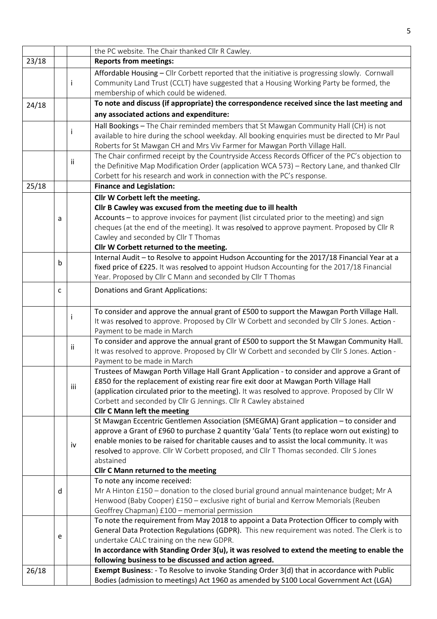|       |   |     | the PC website. The Chair thanked Cllr R Cawley.                                                                                                                                                                                                                                                                                                                                                                                           |
|-------|---|-----|--------------------------------------------------------------------------------------------------------------------------------------------------------------------------------------------------------------------------------------------------------------------------------------------------------------------------------------------------------------------------------------------------------------------------------------------|
| 23/18 |   |     | <b>Reports from meetings:</b>                                                                                                                                                                                                                                                                                                                                                                                                              |
|       |   | j.  | Affordable Housing - Cllr Corbett reported that the initiative is progressing slowly. Cornwall<br>Community Land Trust (CCLT) have suggested that a Housing Working Party be formed, the                                                                                                                                                                                                                                                   |
|       |   |     | membership of which could be widened.                                                                                                                                                                                                                                                                                                                                                                                                      |
| 24/18 |   |     | To note and discuss (if appropriate) the correspondence received since the last meeting and                                                                                                                                                                                                                                                                                                                                                |
|       |   |     | any associated actions and expenditure:                                                                                                                                                                                                                                                                                                                                                                                                    |
|       |   | Ť   | Hall Bookings - The Chair reminded members that St Mawgan Community Hall (CH) is not<br>available to hire during the school weekday. All booking enquiries must be directed to Mr Paul<br>Roberts for St Mawgan CH and Mrs Viv Farmer for Mawgan Porth Village Hall.                                                                                                                                                                       |
|       |   | ij. | The Chair confirmed receipt by the Countryside Access Records Officer of the PC's objection to<br>the Definitive Map Modification Order (application WCA 573) - Rectory Lane, and thanked Cllr<br>Corbett for his research and work in connection with the PC's response.                                                                                                                                                                  |
| 25/18 |   |     | <b>Finance and Legislation:</b>                                                                                                                                                                                                                                                                                                                                                                                                            |
|       |   |     | Cllr W Corbett left the meeting.                                                                                                                                                                                                                                                                                                                                                                                                           |
|       | a |     | Cllr B Cawley was excused from the meeting due to ill health<br>Accounts - to approve invoices for payment (list circulated prior to the meeting) and sign<br>cheques (at the end of the meeting). It was resolved to approve payment. Proposed by Cllr R<br>Cawley and seconded by Cllr T Thomas<br>Cllr W Corbett returned to the meeting.                                                                                               |
|       | b |     | Internal Audit - to Resolve to appoint Hudson Accounting for the 2017/18 Financial Year at a<br>fixed price of £225. It was resolved to appoint Hudson Accounting for the 2017/18 Financial<br>Year. Proposed by Cllr C Mann and seconded by Cllr T Thomas                                                                                                                                                                                 |
|       | c |     | <b>Donations and Grant Applications:</b>                                                                                                                                                                                                                                                                                                                                                                                                   |
|       |   | j   | To consider and approve the annual grant of £500 to support the Mawgan Porth Village Hall.<br>It was resolved to approve. Proposed by Cllr W Corbett and seconded by Cllr S Jones. Action -<br>Payment to be made in March                                                                                                                                                                                                                 |
|       |   | ii. | To consider and approve the annual grant of £500 to support the St Mawgan Community Hall.<br>It was resolved to approve. Proposed by Cllr W Corbett and seconded by Cllr S Jones. Action -<br>Payment to be made in March                                                                                                                                                                                                                  |
|       |   | iii | Trustees of Mawgan Porth Village Hall Grant Application - to consider and approve a Grant of<br>£850 for the replacement of existing rear fire exit door at Mawgan Porth Village Hall<br>(application circulated prior to the meeting). It was resolved to approve. Proposed by Cllr W<br>Corbett and seconded by Cllr G Jennings. Cllr R Cawley abstained<br><b>Cllr C Mann left the meeting</b>                                          |
|       |   | iv  | St Mawgan Eccentric Gentlemen Association (SMEGMA) Grant application - to consider and<br>approve a Grant of £960 to purchase 2 quantity 'Gala' Tents (to replace worn out existing) to<br>enable monies to be raised for charitable causes and to assist the local community. It was<br>resolved to approve. Cllr W Corbett proposed, and Cllr T Thomas seconded. Cllr S Jones<br>abstained<br><b>Cllr C Mann returned to the meeting</b> |
|       | d |     | To note any income received:<br>Mr A Hinton £150 - donation to the closed burial ground annual maintenance budget; Mr A<br>Henwood (Baby Cooper) £150 - exclusive right of burial and Kerrow Memorials (Reuben<br>Geoffrey Chapman) £100 - memorial permission                                                                                                                                                                             |
|       | e |     | To note the requirement from May 2018 to appoint a Data Protection Officer to comply with<br>General Data Protection Regulations (GDPR). This new requirement was noted. The Clerk is to<br>undertake CALC training on the new GDPR.<br>In accordance with Standing Order $3(u)$ , it was resolved to extend the meeting to enable the<br>following business to be discussed and action agreed.                                            |
| 26/18 |   |     | <b>Exempt Business: - To Resolve to invoke Standing Order 3(d) that in accordance with Public</b>                                                                                                                                                                                                                                                                                                                                          |
|       |   |     | Bodies (admission to meetings) Act 1960 as amended by S100 Local Government Act (LGA)                                                                                                                                                                                                                                                                                                                                                      |